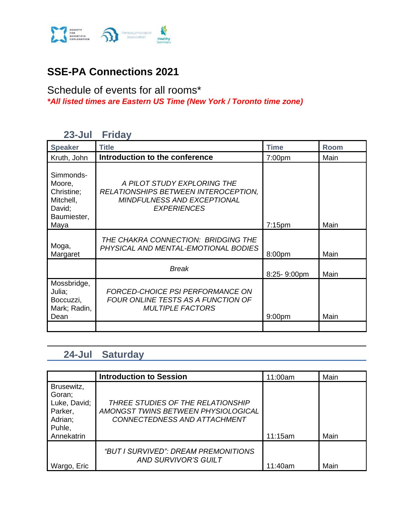

### **SSE-PA Connections 2021**

#### Schedule of events for all rooms\* *\*All listed times are Eastern US Time (New York / Toronto time zone)*

#### **23-Jul Friday**

| <b>Speaker</b>                                                          | <b>Title</b>                                                                                                             | <b>Time</b>        | <b>Room</b> |
|-------------------------------------------------------------------------|--------------------------------------------------------------------------------------------------------------------------|--------------------|-------------|
| Kruth, John                                                             | Introduction to the conference                                                                                           | 7:00 <sub>pm</sub> | Main        |
| Simmonds-<br>Moore,<br>Christine;<br>Mitchell,<br>David;<br>Baumiester, | A PILOT STUDY EXPLORING THE<br>RELATIONSHIPS BETWEEN INTEROCEPTION,<br>MINDFULNESS AND EXCEPTIONAL<br><b>EXPERIENCES</b> |                    |             |
| Maya                                                                    |                                                                                                                          | $7:15$ pm          | Main        |
| Moga,<br>Margaret                                                       | THE CHAKRA CONNECTION: BRIDGING THE<br>PHYSICAL AND MENTAL-EMOTIONAL BODIES                                              | 8:00pm             | Main        |
|                                                                         | <b>Break</b>                                                                                                             | 8:25-9:00pm        | Main        |
| Mossbridge,<br>Julia;<br>Boccuzzi,<br>Mark; Radin,<br>Dean              | <b>FORCED-CHOICE PSI PERFORMANCE ON</b><br>FOUR ONLINE TESTS AS A FUNCTION OF<br><b>MULTIPLE FACTORS</b>                 | 9:00 <sub>pm</sub> | Main        |
|                                                                         |                                                                                                                          |                    |             |

### **24-Jul Saturday**

|                                                                                    | <b>Introduction to Session</b>                                                                           | 11:00am | Main |
|------------------------------------------------------------------------------------|----------------------------------------------------------------------------------------------------------|---------|------|
| Brusewitz,<br>Goran;<br>Luke, David;<br>Parker,<br>Adrian;<br>Puhle,<br>Annekatrin | THREE STUDIES OF THE RELATIONSHIP<br>AMONGST TWINS BETWEEN PHYSIOLOGICAL<br>CONNECTEDNESS AND ATTACHMENT | 11:15am | Main |
|                                                                                    |                                                                                                          |         |      |
| Wargo, Eric                                                                        | "BUT I SURVIVED": DREAM PREMONITIONS<br><b>AND SURVIVOR'S GUILT</b>                                      | 11:40am | Main |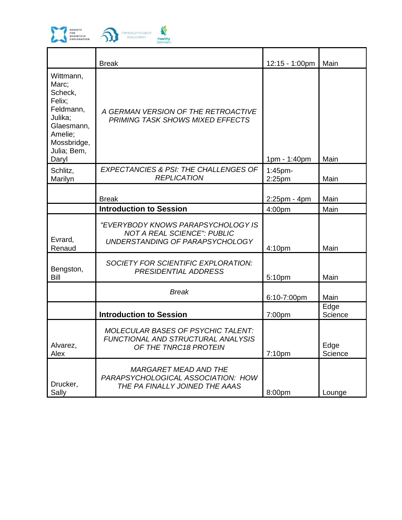

|                                                                                                                                 | <b>Break</b>                                                                                                | 12:15 - 1:00pm          | Main            |
|---------------------------------------------------------------------------------------------------------------------------------|-------------------------------------------------------------------------------------------------------------|-------------------------|-----------------|
| Wittmann,<br>Marc;<br>Scheck,<br>Felix;<br>Feldmann,<br>Julika;<br>Glaesmann,<br>Amelie;<br>Mossbridge,<br>Julia; Bem,<br>Daryl | A GERMAN VERSION OF THE RETROACTIVE<br><b>PRIMING TASK SHOWS MIXED EFFECTS</b>                              | 1pm - 1:40pm            | Main            |
| Schlitz,<br>Marilyn                                                                                                             | <b>EXPECTANCIES &amp; PSI: THE CHALLENGES OF</b><br><b>REPLICATION</b>                                      | $1:45$ pm-<br>$2:25$ pm | Main            |
|                                                                                                                                 | <b>Break</b>                                                                                                | $2:25$ pm - 4pm         | Main            |
|                                                                                                                                 | <b>Introduction to Session</b>                                                                              | 4:00pm                  | Main            |
| Evrard,<br>Renaud                                                                                                               | "EVERYBODY KNOWS PARAPSYCHOLOGY IS<br><b>NOT A REAL SCIENCE": PUBLIC</b><br>UNDERSTANDING OF PARAPSYCHOLOGY | 4:10pm                  | Main            |
| Bengston,<br>Bill                                                                                                               | SOCIETY FOR SCIENTIFIC EXPLORATION:<br>PRESIDENTIAL ADDRESS                                                 | 5:10pm                  | Main            |
|                                                                                                                                 | <b>Break</b>                                                                                                | 6:10-7:00pm             | Main            |
|                                                                                                                                 | <b>Introduction to Session</b>                                                                              | 7:00pm                  | Edge<br>Science |
| Alvarez,<br>Alex                                                                                                                | <b>MOLECULAR BASES OF PSYCHIC TALENT:</b><br>FUNCTIONAL AND STRUCTURAL ANALYSIS<br>OF THE TNRC18 PROTEIN    | 7:10pm                  | Edge<br>Science |
| Drucker,<br>Sally                                                                                                               | <i>MARGARET MEAD AND THE</i><br>PARAPSYCHOLOGICAL ASSOCIATION: HOW<br>THE PA FINALLY JOINED THE AAAS        | 8:00pm                  | Lounge          |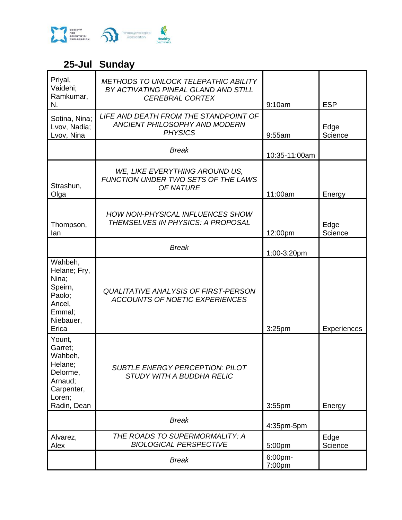

# **25-Jul Sunday**

| Priyal,<br>Vaidehi;<br>Ramkumar,<br>N.                                                                | <b>METHODS TO UNLOCK TELEPATHIC ABILITY</b><br>BY ACTIVATING PINEAL GLAND AND STILL<br><b>CEREBRAL CORTEX</b> | 9:10am            | <b>ESP</b>         |
|-------------------------------------------------------------------------------------------------------|---------------------------------------------------------------------------------------------------------------|-------------------|--------------------|
| Sotina, Nina;<br>Lvov, Nadia;<br>Lvov, Nina                                                           | LIFE AND DEATH FROM THE STANDPOINT OF<br>ANCIENT PHILOSOPHY AND MODERN<br><b>PHYSICS</b>                      | 9:55am            | Edge<br>Science    |
|                                                                                                       | <b>Break</b>                                                                                                  | 10:35-11:00am     |                    |
| Strashun,<br>Olga                                                                                     | WE, LIKE EVERYTHING AROUND US,<br>FUNCTION UNDER TWO SETS OF THE LAWS<br><b>OF NATURE</b>                     | 11:00am           | Energy             |
| Thompson,<br>lan                                                                                      | HOW NON-PHYSICAL INFLUENCES SHOW<br>THEMSELVES IN PHYSICS: A PROPOSAL                                         | 12:00pm           | Edge<br>Science    |
|                                                                                                       | <b>Break</b>                                                                                                  | 1:00-3:20pm       |                    |
| Wahbeh,<br>Helane; Fry,<br>Nina;<br>Speirn,<br>Paolo;<br>Ancel,<br>Emmal;<br>Niebauer,<br>Erica       | <b>QUALITATIVE ANALYSIS OF FIRST-PERSON</b><br><b>ACCOUNTS OF NOETIC EXPERIENCES</b>                          | 3:25pm            | <b>Experiences</b> |
| Yount,<br>Garret;<br>Wahbeh,<br>Helane;<br>Delorme,<br>Arnaud;<br>Carpenter,<br>Loren;<br>Radin, Dean | <b>SUBTLE ENERGY PERCEPTION: PILOT</b><br><b>STUDY WITH A BUDDHA RELIC</b>                                    | 3:55pm            | Energy             |
|                                                                                                       | <b>Break</b>                                                                                                  | 4:35pm-5pm        |                    |
| Alvarez,<br>Alex                                                                                      | THE ROADS TO SUPERMORMALITY: A<br><b>BIOLOGICAL PERSPECTIVE</b>                                               | 5:00pm            | Edge<br>Science    |
|                                                                                                       | <b>Break</b>                                                                                                  | 6:00pm-<br>7:00pm |                    |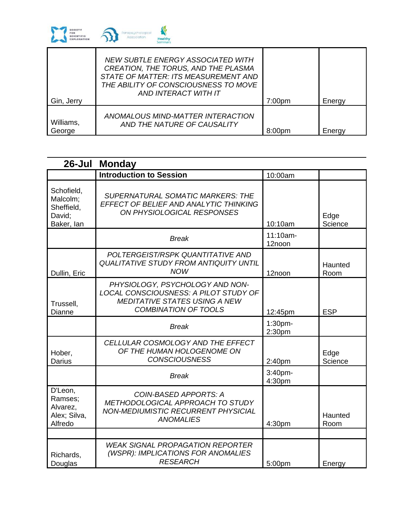

|                     | NEW SUBTLE ENERGY ASSOCIATED WITH<br>CREATION, THE TORUS, AND THE PLASMA<br>STATE OF MATTER: ITS MEASUREMENT AND<br>THE ABILITY OF CONSCIOUSNESS TO MOVE<br>AND INTERACT WITH IT |                    |        |
|---------------------|----------------------------------------------------------------------------------------------------------------------------------------------------------------------------------|--------------------|--------|
| Gin, Jerry          |                                                                                                                                                                                  | 7:00 <sub>pm</sub> | Energy |
| Williams,<br>George | ANOMALOUS MIND-MATTER INTERACTION<br>AND THE NATURE OF CAUSALITY                                                                                                                 | 8:00 <sub>pm</sub> | Energy |

|                                                              | 26-Jul Monday                                                                                                                                   |                    |                 |
|--------------------------------------------------------------|-------------------------------------------------------------------------------------------------------------------------------------------------|--------------------|-----------------|
|                                                              | <b>Introduction to Session</b>                                                                                                                  | 10:00am            |                 |
| Schofield,<br>Malcolm;<br>Sheffield,<br>David;<br>Baker, lan | <b>SUPERNATURAL SOMATIC MARKERS: THE</b><br>EFFECT OF BELIEF AND ANALYTIC THINKING<br>ON PHYSIOLOGICAL RESPONSES                                | 10:10am            | Edge<br>Science |
|                                                              | <b>Break</b>                                                                                                                                    | 11:10am-<br>12noon |                 |
| Dullin, Eric                                                 | POLTERGEIST/RSPK QUANTITATIVE AND<br><b>QUALITATIVE STUDY FROM ANTIQUITY UNTIL</b><br><b>NOW</b>                                                | 12noon             | Haunted<br>Room |
| Trussell,<br>Dianne                                          | PHYSIOLOGY, PSYCHOLOGY AND NON-<br>LOCAL CONSCIOUSNESS: A PILOT STUDY OF<br><b>MEDITATIVE STATES USING A NEW</b><br><b>COMBINATION OF TOOLS</b> | 12:45pm            | <b>ESP</b>      |
|                                                              | <b>Break</b>                                                                                                                                    | 1:30pm-<br>2:30pm  |                 |
| Hober,<br><b>Darius</b>                                      | CELLULAR COSMOLOGY AND THE EFFECT<br>OF THE HUMAN HOLOGENOME ON<br><b>CONSCIOUSNESS</b>                                                         | 2:40pm             | Edge<br>Science |
|                                                              | <b>Break</b>                                                                                                                                    | 3:40pm-<br>4:30pm  |                 |
| D'Leon,<br>Ramses;<br>Alvarez,<br>Alex; Silva,<br>Alfredo    | <b>COIN-BASED APPORTS: A</b><br>METHODOLOGICAL APPROACH TO STUDY<br><b>NON-MEDIUMISTIC RECURRENT PHYSICIAL</b><br><b>ANOMALIES</b>              | 4:30pm             | Haunted<br>Room |
| Richards,<br>Douglas                                         | <b>WEAK SIGNAL PROPAGATION REPORTER</b><br>(WSPR): IMPLICATIONS FOR ANOMALIES<br><b>RESEARCH</b>                                                | 5:00pm             | Energy          |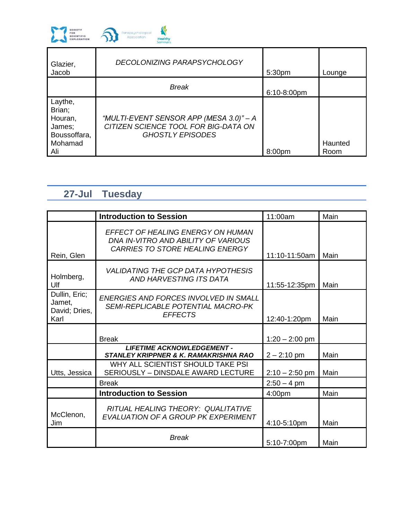

| Glazier,<br>Jacob                                                        | DECOLONIZING PARAPSYCHOLOGY                                                                                | 5:30pm             | Lounge          |
|--------------------------------------------------------------------------|------------------------------------------------------------------------------------------------------------|--------------------|-----------------|
|                                                                          | <b>Break</b>                                                                                               | $6:10-8:00$ pm     |                 |
| Laythe,<br>Brian;<br>Houran,<br>James;<br>Boussoffara,<br>Mohamad<br>Ali | "MULTI-EVENT SENSOR APP (MESA 3.0)" - A<br>CITIZEN SCIENCE TOOL FOR BIG-DATA ON<br><b>GHOSTLY EPISODES</b> | 8:00 <sub>pm</sub> | Haunted<br>Room |

## **27-Jul Tuesday**

|                                                  | <b>Introduction to Session</b>                                                                              | 11:00am          | Main |
|--------------------------------------------------|-------------------------------------------------------------------------------------------------------------|------------------|------|
| Rein, Glen                                       | EFFECT OF HEALING ENERGY ON HUMAN<br>DNA IN-VITRO AND ABILITY OF VARIOUS<br>CARRIES TO STORE HEALING ENERGY | 11:10-11:50am    | Main |
| Holmberg,<br>Ulf                                 | <b>VALIDATING THE GCP DATA HYPOTHESIS</b><br>AND HARVESTING ITS DATA                                        | 11:55-12:35pm    | Main |
| Dullin, Eric;<br>Jamet,<br>David; Dries,<br>Karl | ENERGIES AND FORCES INVOLVED IN SMALL<br><b>SEMI-REPLICABLE POTENTIAL MACRO-PK</b><br><b>EFFECTS</b>        | 12:40-1:20pm     | Main |
|                                                  | <b>Break</b>                                                                                                | $1:20 - 2:00$ pm |      |
|                                                  | <b>LIFETIME ACKNOWLEDGEMENT -</b><br><b>STANLEY KRIPPNER &amp; K. RAMAKRISHNA RAO</b>                       | $2 - 2:10$ pm    | Main |
| Utts, Jessica                                    | WHY ALL SCIENTIST SHOULD TAKE PSI<br>SERIOUSLY - DINSDALE AWARD LECTURE                                     | $2:10 - 2:50$ pm | Main |
|                                                  | <b>Break</b>                                                                                                | $2:50 - 4$ pm    |      |
|                                                  | <b>Introduction to Session</b>                                                                              | 4:00pm           | Main |
| McClenon,<br>Jim                                 | RITUAL HEALING THEORY: QUALITATIVE<br>EVALUATION OF A GROUP PK EXPERIMENT                                   | 4:10-5:10pm      | Main |
|                                                  | <b>Break</b>                                                                                                | 5:10-7:00pm      | Main |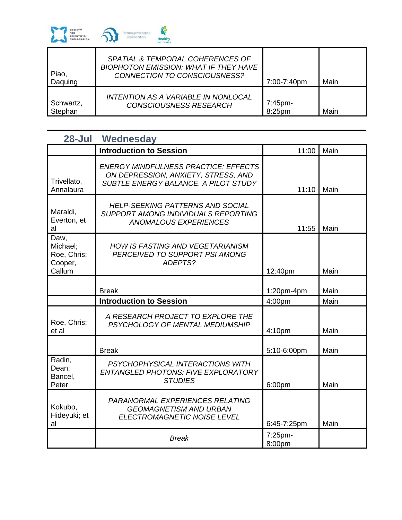

| Piao,<br>Daquing | SPATIAL & TEMPORAL COHERENCES OF<br>BIOPHOTON EMISSION: WHAT IF THEY HAVE<br>CONNECTION TO CONSCIOUSNESS? | 7:00-7:40pm | Main |
|------------------|-----------------------------------------------------------------------------------------------------------|-------------|------|
| Schwartz,        | INTENTION AS A VARIABLE IN NONLOCAL                                                                       | 7:45pm-     | Main |
| Stephan          | <b>CONSCIOUSNESS RESEARCH</b>                                                                             | 8:25pm      |      |

| 28-Jul                                               | Wednesday                                                                                                                  |                   |      |
|------------------------------------------------------|----------------------------------------------------------------------------------------------------------------------------|-------------------|------|
|                                                      | <b>Introduction to Session</b>                                                                                             | 11:00             | Main |
| Trivellato,<br>Annalaura                             | <b>ENERGY MINDFULNESS PRACTICE: EFFECTS</b><br>ON DEPRESSION, ANXIETY, STRESS, AND<br>SUBTLE ENERGY BALANCE. A PILOT STUDY | 11:10             | Main |
| Maraldi,<br>Everton, et<br>al                        | <b>HELP-SEEKING PATTERNS AND SOCIAL</b><br>SUPPORT AMONG INDIVIDUALS REPORTING<br><b>ANOMALOUS EXPERIENCES</b>             | 11:55             | Main |
| Daw,<br>Michael;<br>Roe, Chris;<br>Cooper,<br>Callum | <b>HOW IS FASTING AND VEGETARIANISM</b><br>PERCEIVED TO SUPPORT PSI AMONG<br>ADEPTS?                                       | 12:40pm           | Main |
|                                                      | <b>Break</b>                                                                                                               | 1:20pm-4pm        | Main |
|                                                      | <b>Introduction to Session</b>                                                                                             | 4:00pm            | Main |
| Roe, Chris;<br>et al                                 | A RESEARCH PROJECT TO EXPLORE THE<br>PSYCHOLOGY OF MENTAL MEDIUMSHIP                                                       | 4:10pm            | Main |
|                                                      | <b>Break</b>                                                                                                               | 5:10-6:00pm       | Main |
| Radin,<br>Dean;<br>Bancel,<br>Peter                  | PSYCHOPHYSICAL INTERACTIONS WITH<br>ENTANGLED PHOTONS: FIVE EXPLORATORY<br><b>STUDIES</b>                                  | 6:00pm            | Main |
| Kokubo,<br>Hideyuki; et<br>al                        | PARANORMAL EXPERIENCES RELATING<br><b>GEOMAGNETISM AND URBAN</b><br>ELECTROMAGNETIC NOISE LEVEL                            | 6:45-7:25pm       | Main |
|                                                      | <b>Break</b>                                                                                                               | 7:25pm-<br>8:00pm |      |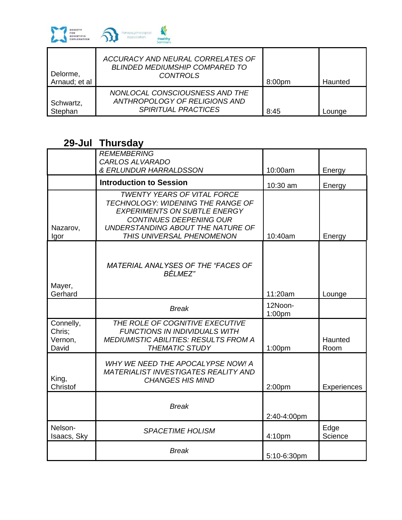

| Delorme,<br>Arnaud; et al | ACCURACY AND NEURAL CORRELATES OF<br><b>BLINDED MEDIUMSHIP COMPARED TO</b><br>CONTROLS        | 8:00pm | Haunted |
|---------------------------|-----------------------------------------------------------------------------------------------|--------|---------|
| Schwartz,<br>Stephan      | NONLOCAL CONSCIOUSNESS AND THE<br>ANTHROPOLOGY OF RELIGIONS AND<br><i>SPIRITUAL PRACTICES</i> | 8:45   | Lounge  |

### **29-Jul Thursday**

|                                         | <b>REMEMBERING</b><br>CARLOS ALVARADO                                                                                                                                                                              |                    |                 |
|-----------------------------------------|--------------------------------------------------------------------------------------------------------------------------------------------------------------------------------------------------------------------|--------------------|-----------------|
|                                         | & ERLUNDUR HARRALDSSON                                                                                                                                                                                             | 10:00am            | Energy          |
|                                         | <b>Introduction to Session</b>                                                                                                                                                                                     | 10:30 am           | Energy          |
| Nazarov,<br>Igor                        | <b>TWENTY YEARS OF VITAL FORCE</b><br>TECHNOLOGY: WIDENING THE RANGE OF<br><b>EXPERIMENTS ON SUBTLE ENERGY</b><br><b>CONTINUES DEEPENING OUR</b><br>UNDERSTANDING ABOUT THE NATURE OF<br>THIS UNIVERSAL PHENOMENON | 10:40am            | Energy          |
| Mayer,<br>Gerhard                       | MATERIAL ANALYSES OF THE "FACES OF<br><b>BÉLMEZ"</b>                                                                                                                                                               | 11:20am            | Lounge          |
|                                         | <b>Break</b>                                                                                                                                                                                                       | 12Noon-<br>1:00pm  |                 |
| Connelly,<br>Chris;<br>Vernon,<br>David | THE ROLE OF COGNITIVE EXECUTIVE<br><b>FUNCTIONS IN INDIVIDUALS WITH</b><br><b>MEDIUMISTIC ABILITIES: RESULTS FROM A</b><br><b>THEMATIC STUDY</b>                                                                   | 1:00pm             | Haunted<br>Room |
| King,<br>Christof                       | WHY WE NEED THE APOCAL YPSE NOW! A<br><b>MATERIALIST INVESTIGATES REALITY AND</b><br><b>CHANGES HIS MIND</b>                                                                                                       | 2:00pm             | Experiences     |
|                                         | <b>Break</b>                                                                                                                                                                                                       | 2:40-4:00pm        |                 |
| Nelson-<br>Isaacs, Sky                  | <b>SPACETIME HOLISM</b>                                                                                                                                                                                            | 4:10 <sub>pm</sub> | Edge<br>Science |
|                                         | <b>Break</b>                                                                                                                                                                                                       | 5:10-6:30pm        |                 |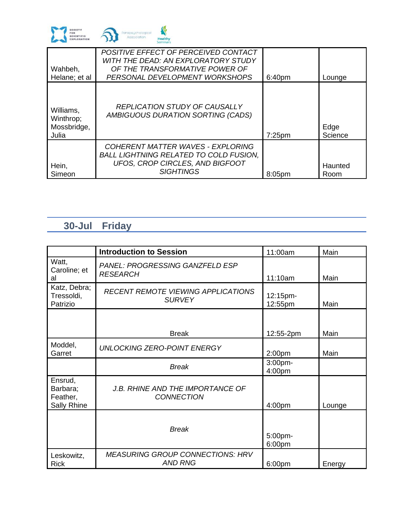

| Wahbeh,<br>Helane; et al                       | POSITIVE EFFECT OF PERCEIVED CONTACT<br>WITH THE DEAD: AN EXPLORATORY STUDY<br>OF THE TRANSFORMATIVE POWER OF<br>PERSONAL DEVELOPMENT WORKSHOPS | 6:40pm    | Lounge          |
|------------------------------------------------|-------------------------------------------------------------------------------------------------------------------------------------------------|-----------|-----------------|
| Williams,<br>Winthrop;<br>Mossbridge,<br>Julia | <b>REPLICATION STUDY OF CAUSALLY</b><br>AMBIGUOUS DURATION SORTING (CADS)                                                                       | $7:25$ pm | Edge<br>Science |
| Hein,<br>Simeon                                | COHERENT MATTER WAVES - EXPLORING<br><b>BALL LIGHTNING RELATED TO COLD FUSION.</b><br>UFOS, CROP CIRCLES, AND BIGFOOT<br><b>SIGHTINGS</b>       | 8:05pm    | Haunted<br>Room |

## **30-Jul Friday**

|                                                | <b>Introduction to Session</b>                             | 11:00am             | Main   |
|------------------------------------------------|------------------------------------------------------------|---------------------|--------|
| Watt,<br>Caroline; et<br>al                    | <b>PANEL: PROGRESSING GANZFELD ESP</b><br><b>RESEARCH</b>  | 11:10am             | Main   |
| Katz, Debra;<br>Tressoldi,<br>Patrizio         | <b>RECENT REMOTE VIEWING APPLICATIONS</b><br><b>SURVEY</b> | 12:15pm-<br>12:55pm | Main   |
|                                                |                                                            |                     |        |
|                                                | <b>Break</b>                                               | 12:55-2pm           | Main   |
| Moddel,<br>Garret                              | <b>UNLOCKING ZERO-POINT ENERGY</b>                         | 2:00 <sub>pm</sub>  | Main   |
|                                                | <b>Break</b>                                               | 3:00pm-<br>4:00pm   |        |
| Ensrud,<br>Barbara;<br>Feather,<br>Sally Rhine | J.B. RHINE AND THE IMPORTANCE OF<br><b>CONNECTION</b>      | 4:00pm              | Lounge |
|                                                | <b>Break</b>                                               | 5:00pm-<br>6:00pm   |        |
| Leskowitz,<br><b>Rick</b>                      | <b>MEASURING GROUP CONNECTIONS: HRV</b><br><b>AND RNG</b>  | 6:00pm              | Energy |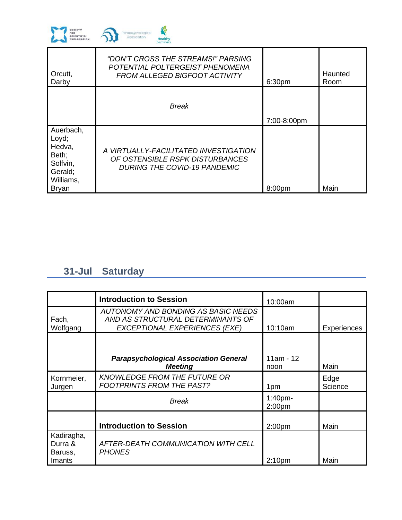

| Orcutt,<br>Darby                                                                          | "DON'T CROSS THE STREAMS!" PARSING<br>POTENTIAL POLTERGEIST PHENOMENA<br><b>FROM ALLEGED BIGFOOT ACTIVITY</b>   | 6:30pm      | Haunted<br>Room |
|-------------------------------------------------------------------------------------------|-----------------------------------------------------------------------------------------------------------------|-------------|-----------------|
|                                                                                           | <b>Break</b>                                                                                                    | 7:00-8:00pm |                 |
| Auerbach,<br>Loyd;<br>Hedva,<br>Beth;<br>Solfvin,<br>Gerald;<br>Williams,<br><b>Bryan</b> | A VIRTUALLY-FACILITATED INVESTIGATION<br>OF OSTENSIBLE RSPK DISTURBANCES<br><b>DURING THE COVID-19 PANDEMIC</b> | 8:00pm      | Main            |

# **31-Jul Saturday**

|                                            | <b>Introduction to Session</b>                                                                                   | 10:00am                          |                    |
|--------------------------------------------|------------------------------------------------------------------------------------------------------------------|----------------------------------|--------------------|
| Fach,<br>Wolfgang                          | AUTONOMY AND BONDING AS BASIC NEEDS<br>AND AS STRUCTURAL DETERMINANTS OF<br><b>EXCEPTIONAL EXPERIENCES (EXE)</b> | 10:10am                          | <b>Experiences</b> |
|                                            |                                                                                                                  |                                  |                    |
|                                            | <b>Parapsychological Association General</b><br><b>Meeting</b>                                                   | $11am - 12$<br>noon              | Main               |
| Kornmeier,<br>Jurgen                       | <b>KNOWLEDGE FROM THE FUTURE OR</b><br><b>FOOTPRINTS FROM THE PAST?</b>                                          | 1pm                              | Edge<br>Science    |
|                                            | <b>Break</b>                                                                                                     | $1:40$ pm-<br>2:00 <sub>pm</sub> |                    |
|                                            | <b>Introduction to Session</b>                                                                                   | 2:00 <sub>pm</sub>               | Main               |
| Kadiragha,<br>Durra &<br>Baruss,<br>Imants | AFTER-DEATH COMMUNICATION WITH CELL<br><b>PHONES</b>                                                             | 2:10 <sub>pm</sub>               | Main               |